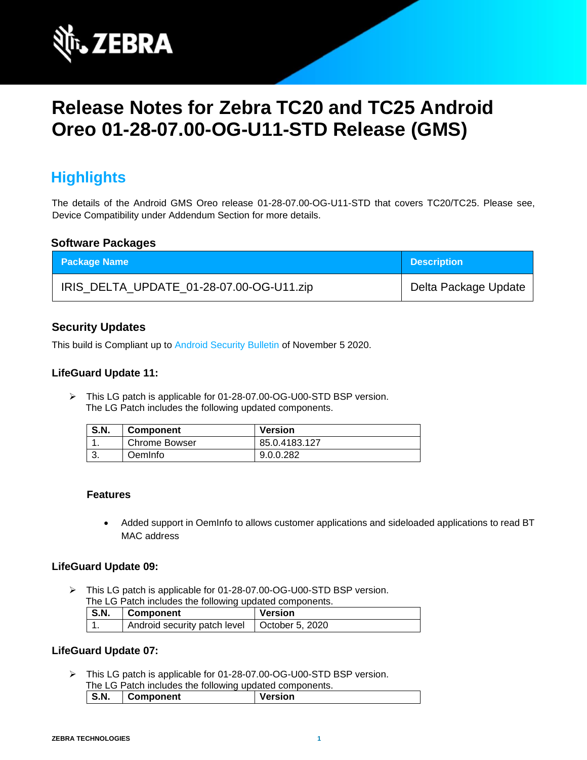

# **Release Notes for Zebra TC20 and TC25 Android Oreo 01-28-07.00-OG-U11-STD Release (GMS)**

# **Highlights**

The details of the Android GMS Oreo release 01-28-07.00-OG-U11-STD that covers TC20/TC25. Please see, Device Compatibility under Addendum Section for more details.

#### **Software Packages**

| <b>Package Name</b>                      | <b>Description</b>   |
|------------------------------------------|----------------------|
| IRIS_DELTA_UPDATE_01-28-07.00-OG-U11.zip | Delta Package Update |

### **Security Updates**

This build is Compliant up to [Android Security Bulletin](https://source.android.com/security/bulletin/) of November 5 2020.

#### **LifeGuard Update 11:**

➢ This LG patch is applicable for 01-28-07.00-OG-U00-STD BSP version. The LG Patch includes the following updated components.

| <b>S.N.</b> | <b>Component</b> | <b>Version</b> |
|-------------|------------------|----------------|
|             | Chrome Bowser    | 85.0.4183.127  |
| J.          | <b>DemInfo</b>   | 9.0.0.282      |

#### **Features**

• Added support in OemInfo to allows customer applications and sideloaded applications to read BT MAC address

#### **LifeGuard Update 09:**

➢ This LG patch is applicable for 01-28-07.00-OG-U00-STD BSP version.

| <b>S.N.</b> | Component                                      | Version |
|-------------|------------------------------------------------|---------|
|             | Android security patch level   October 5, 2020 |         |

#### **LifeGuard Update 07:**

➢ This LG patch is applicable for 01-28-07.00-OG-U00-STD BSP version. The LG Patch includes the following updated components.

| S.N.<br>Version<br>Component | <b>THE LOT AND MIDIAGOO GIO IOID MING APARTO COMPONDING.</b> |  |  |
|------------------------------|--------------------------------------------------------------|--|--|
|                              |                                                              |  |  |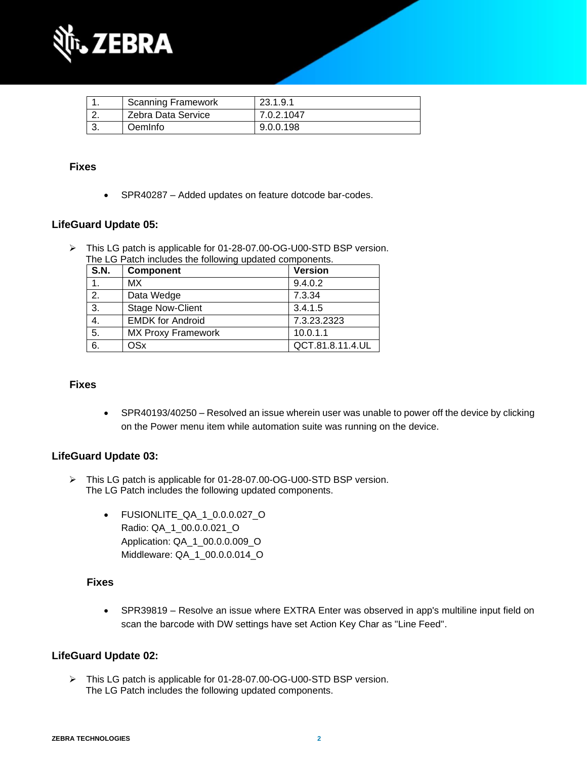

| <b>Scanning Framework</b> | 23.1.9.1   |
|---------------------------|------------|
| Zebra Data Service        | 7.0.2.1047 |
| OemInfo                   | 9.0.0.198  |

#### **Fixes**

• SPR40287 – Added updates on feature dotcode bar-codes.

#### **LifeGuard Update 05:**

➢ This LG patch is applicable for 01-28-07.00-OG-U00-STD BSP version. The LG Patch includes the following updated components.

| S.N. | <b>Component</b>          | <b>Version</b>   |
|------|---------------------------|------------------|
|      | MX.                       | 9.4.0.2          |
| 2.   | Data Wedge                | 7.3.34           |
| 3.   | <b>Stage Now-Client</b>   | 3.4.1.5          |
| 4.   | <b>EMDK for Android</b>   | 7.3.23.2323      |
| 5.   | <b>MX Proxy Framework</b> | 10.0.1.1         |
| 6.   | OSx                       | QCT.81.8.11.4.UL |

#### **Fixes**

• SPR40193/40250 – Resolved an issue wherein user was unable to power off the device by clicking on the Power menu item while automation suite was running on the device.

#### **LifeGuard Update 03:**

- ➢ This LG patch is applicable for 01-28-07.00-OG-U00-STD BSP version. The LG Patch includes the following updated components.
	- FUSIONLITE\_QA\_1\_0.0.0.027\_O Radio: QA\_1\_00.0.0.021\_O Application: QA\_1\_00.0.0.009\_O Middleware: QA\_1\_00.0.0.014\_O

#### **Fixes**

• SPR39819 – Resolve an issue where EXTRA Enter was observed in app's multiline input field on scan the barcode with DW settings have set Action Key Char as "Line Feed".

#### **LifeGuard Update 02:**

➢ This LG patch is applicable for 01-28-07.00-OG-U00-STD BSP version. The LG Patch includes the following updated components.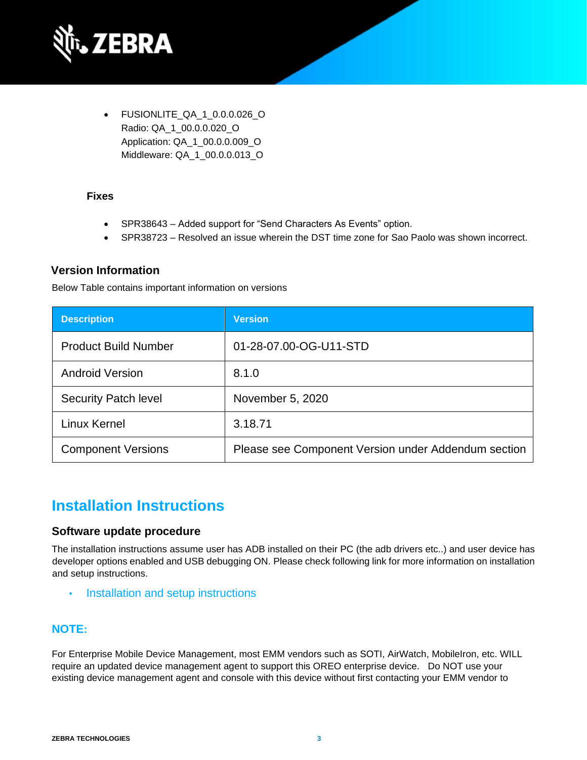

• FUSIONLITE\_QA\_1\_0.0.0.026\_O Radio: QA\_1\_00.0.0.020\_O Application: QA\_1\_00.0.0.009\_O Middleware: QA\_1\_00.0.0.013\_O

#### **Fixes**

- SPR38643 Added support for "Send Characters As Events" option.
- SPR38723 Resolved an issue wherein the DST time zone for Sao Paolo was shown incorrect.

### **Version Information**

Below Table contains important information on versions

| <b>Description</b>          | <b>Version</b>                                      |
|-----------------------------|-----------------------------------------------------|
| <b>Product Build Number</b> | 01-28-07.00-OG-U11-STD                              |
| <b>Android Version</b>      | 8.1.0                                               |
| <b>Security Patch level</b> | November 5, 2020                                    |
| Linux Kernel                | 3.18.71                                             |
| <b>Component Versions</b>   | Please see Component Version under Addendum section |

## **Installation Instructions**

#### **Software update procedure**

The installation instructions assume user has ADB installed on their PC (the adb drivers etc..) and user device has developer options enabled and USB debugging ON. Please check following link for more information on installation and setup instructions.

• [Installation and setup instructions](https://www.zebra.com/content/dam/zebra_new_ia/en-us/software/operating-system/tc20-operating-system/Android-O-OS-Update-TC20-and-TC25-GMS.pdf)

### **NOTE:**

For Enterprise Mobile Device Management, most EMM vendors such as SOTI, AirWatch, MobileIron, etc. WILL require an updated device management agent to support this OREO enterprise device. Do NOT use your existing device management agent and console with this device without first contacting your EMM vendor to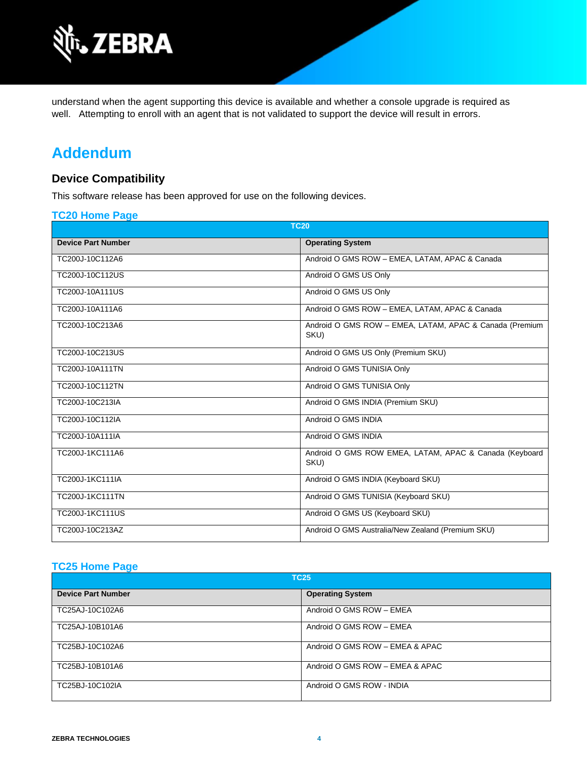

understand when the agent supporting this device is available and whether a console upgrade is required as well. Attempting to enroll with an agent that is not validated to support the device will result in errors.

# **Addendum**

### **Device Compatibility**

This software release has been approved for use on the following devices.

#### **[TC20 Home Page](https://www.zebra.com/us/en/support-downloads/software/operating-system/tc20-operating-system.html)**

| <b>TC20</b>               |                                                                 |  |
|---------------------------|-----------------------------------------------------------------|--|
| <b>Device Part Number</b> | <b>Operating System</b>                                         |  |
| TC200J-10C112A6           | Android O GMS ROW - EMEA, LATAM, APAC & Canada                  |  |
| TC200J-10C112US           | Android O GMS US Only                                           |  |
| TC200J-10A111US           | Android O GMS US Only                                           |  |
| TC200J-10A111A6           | Android O GMS ROW - EMEA, LATAM, APAC & Canada                  |  |
| TC200J-10C213A6           | Android O GMS ROW - EMEA, LATAM, APAC & Canada (Premium<br>SKU) |  |
| TC200J-10C213US           | Android O GMS US Only (Premium SKU)                             |  |
| <b>TC200J-10A111TN</b>    | Android O GMS TUNISIA Only                                      |  |
| TC200J-10C112TN           | Android O GMS TUNISIA Only                                      |  |
| TC200J-10C213IA           | Android O GMS INDIA (Premium SKU)                               |  |
| TC200J-10C112IA           | Android O GMS INDIA                                             |  |
| TC200J-10A111IA           | Android O GMS INDIA                                             |  |
| TC200J-1KC111A6           | Android O GMS ROW EMEA, LATAM, APAC & Canada (Keyboard<br>SKU)  |  |
| TC200J-1KC111IA           | Android O GMS INDIA (Keyboard SKU)                              |  |
| <b>TC200J-1KC111TN</b>    | Android O GMS TUNISIA (Keyboard SKU)                            |  |
| TC200J-1KC111US           | Android O GMS US (Keyboard SKU)                                 |  |
| TC200J-10C213AZ           | Android O GMS Australia/New Zealand (Premium SKU)               |  |

### **[TC25 Home Page](https://www.zebra.com/us/en/support-downloads/software/operating-system/tc25-operating-system.html)**

| <b>TC25</b>               |                                 |  |
|---------------------------|---------------------------------|--|
| <b>Device Part Number</b> | <b>Operating System</b>         |  |
| TC25AJ-10C102A6           | Android O GMS ROW - EMEA        |  |
| TC25AJ-10B101A6           | Android O GMS ROW - EMEA        |  |
| TC25BJ-10C102A6           | Android O GMS ROW - EMEA & APAC |  |
| TC25BJ-10B101A6           | Android O GMS ROW - EMEA & APAC |  |
| TC25BJ-10C102IA           | Android O GMS ROW - INDIA       |  |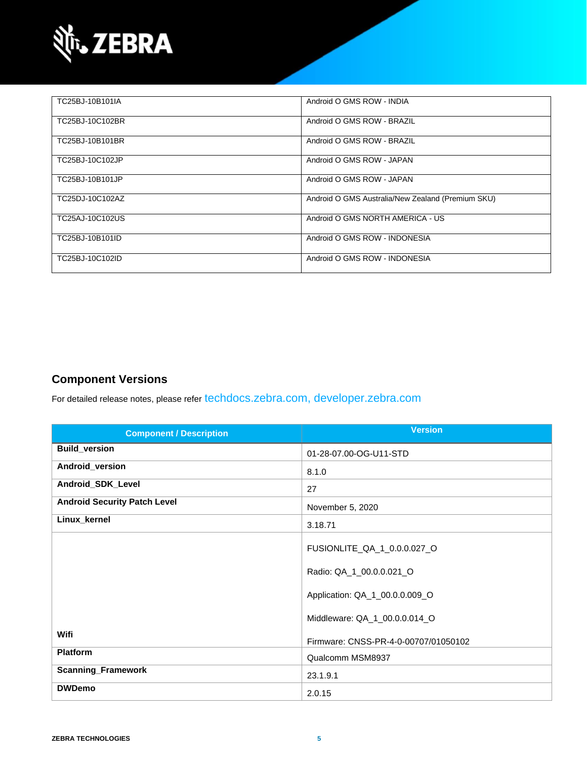

| TC25BJ-10B101IA | Android O GMS ROW - INDIA                         |
|-----------------|---------------------------------------------------|
| TC25BJ-10C102BR | Android O GMS ROW - BRAZIL                        |
| TC25BJ-10B101BR | Android O GMS ROW - BRAZIL                        |
| TC25BJ-10C102JP | Android O GMS ROW - JAPAN                         |
| TC25BJ-10B101JP | Android O GMS ROW - JAPAN                         |
| TC25DJ-10C102AZ | Android O GMS Australia/New Zealand (Premium SKU) |
| TC25AJ-10C102US | Android O GMS NORTH AMERICA - US                  |
| TC25BJ-10B101ID | Android O GMS ROW - INDONESIA                     |
| TC25BJ-10C102ID | Android O GMS ROW - INDONESIA                     |

### **Component Versions**

For detailed release notes, please refer [techdocs.zebra.com,](https://techdocs.zebra.com/) [developer.zebra.com](https://developer.zebra.com/)

| <b>Component / Description</b>      | <b>Version</b>                       |
|-------------------------------------|--------------------------------------|
| <b>Build_version</b>                | 01-28-07.00-OG-U11-STD               |
| Android_version                     | 8.1.0                                |
| Android_SDK_Level                   | 27                                   |
| <b>Android Security Patch Level</b> | November 5, 2020                     |
| Linux_kernel                        | 3.18.71                              |
|                                     | FUSIONLITE_QA_1_0.0.0.027_O          |
|                                     | Radio: QA_1_00.0.0.021_O             |
|                                     | Application: QA_1_00.0.0.009_O       |
|                                     | Middleware: QA_1_00.0.0.014_O        |
| Wifi                                | Firmware: CNSS-PR-4-0-00707/01050102 |
| <b>Platform</b>                     | Qualcomm MSM8937                     |
| <b>Scanning_Framework</b>           | 23.1.9.1                             |
| <b>DWDemo</b>                       | 2.0.15                               |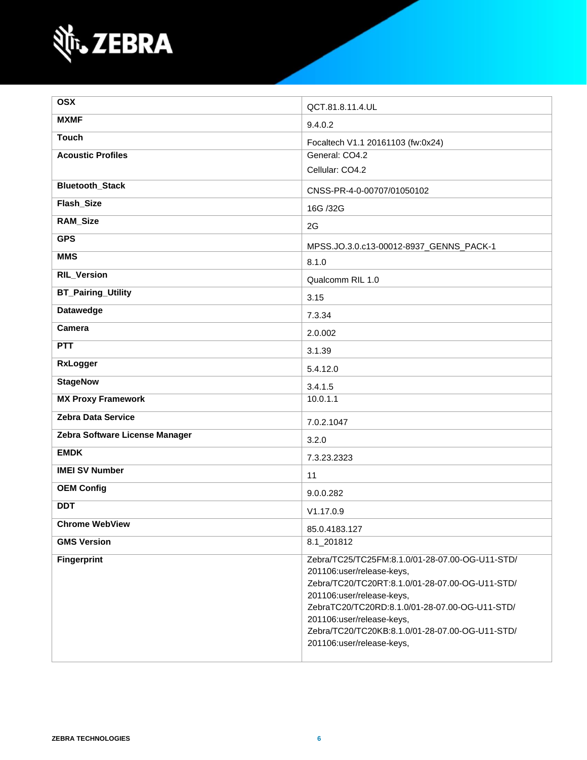

| <b>OSX</b>                     | QCT.81.8.11.4.UL                                                                                                                                                                                                                                                                                                            |
|--------------------------------|-----------------------------------------------------------------------------------------------------------------------------------------------------------------------------------------------------------------------------------------------------------------------------------------------------------------------------|
| <b>MXMF</b>                    | 9.4.0.2                                                                                                                                                                                                                                                                                                                     |
| <b>Touch</b>                   | Focaltech V1.1 20161103 (fw:0x24)                                                                                                                                                                                                                                                                                           |
| <b>Acoustic Profiles</b>       | General: CO4.2                                                                                                                                                                                                                                                                                                              |
|                                | Cellular: CO4.2                                                                                                                                                                                                                                                                                                             |
| <b>Bluetooth_Stack</b>         | CNSS-PR-4-0-00707/01050102                                                                                                                                                                                                                                                                                                  |
| Flash_Size                     | 16G /32G                                                                                                                                                                                                                                                                                                                    |
| <b>RAM_Size</b>                | 2G                                                                                                                                                                                                                                                                                                                          |
| <b>GPS</b>                     | MPSS.JO.3.0.c13-00012-8937_GENNS_PACK-1                                                                                                                                                                                                                                                                                     |
| <b>MMS</b>                     | 8.1.0                                                                                                                                                                                                                                                                                                                       |
| <b>RIL_Version</b>             | Qualcomm RIL 1.0                                                                                                                                                                                                                                                                                                            |
| <b>BT_Pairing_Utility</b>      | 3.15                                                                                                                                                                                                                                                                                                                        |
| <b>Datawedge</b>               | 7.3.34                                                                                                                                                                                                                                                                                                                      |
| <b>Camera</b>                  | 2.0.002                                                                                                                                                                                                                                                                                                                     |
| <b>PTT</b>                     | 3.1.39                                                                                                                                                                                                                                                                                                                      |
| <b>RxLogger</b>                | 5.4.12.0                                                                                                                                                                                                                                                                                                                    |
| <b>StageNow</b>                | 3.4.1.5                                                                                                                                                                                                                                                                                                                     |
| <b>MX Proxy Framework</b>      | 10.0.1.1                                                                                                                                                                                                                                                                                                                    |
| Zebra Data Service             | 7.0.2.1047                                                                                                                                                                                                                                                                                                                  |
| Zebra Software License Manager | 3.2.0                                                                                                                                                                                                                                                                                                                       |
| <b>EMDK</b>                    | 7.3.23.2323                                                                                                                                                                                                                                                                                                                 |
| <b>IMEI SV Number</b>          | 11                                                                                                                                                                                                                                                                                                                          |
| <b>OEM Config</b>              | 9.0.0.282                                                                                                                                                                                                                                                                                                                   |
| <b>DDT</b>                     | V1.17.0.9                                                                                                                                                                                                                                                                                                                   |
| <b>Chrome WebView</b>          | 85.0.4183.127                                                                                                                                                                                                                                                                                                               |
| <b>GMS Version</b>             | 8.1_201812                                                                                                                                                                                                                                                                                                                  |
| <b>Fingerprint</b>             | Zebra/TC25/TC25FM:8.1.0/01-28-07.00-OG-U11-STD/<br>201106:user/release-keys,<br>Zebra/TC20/TC20RT:8.1.0/01-28-07.00-OG-U11-STD/<br>201106:user/release-keys,<br>ZebraTC20/TC20RD:8.1.0/01-28-07.00-OG-U11-STD/<br>201106:user/release-keys,<br>Zebra/TC20/TC20KB:8.1.0/01-28-07.00-OG-U11-STD/<br>201106:user/release-keys, |